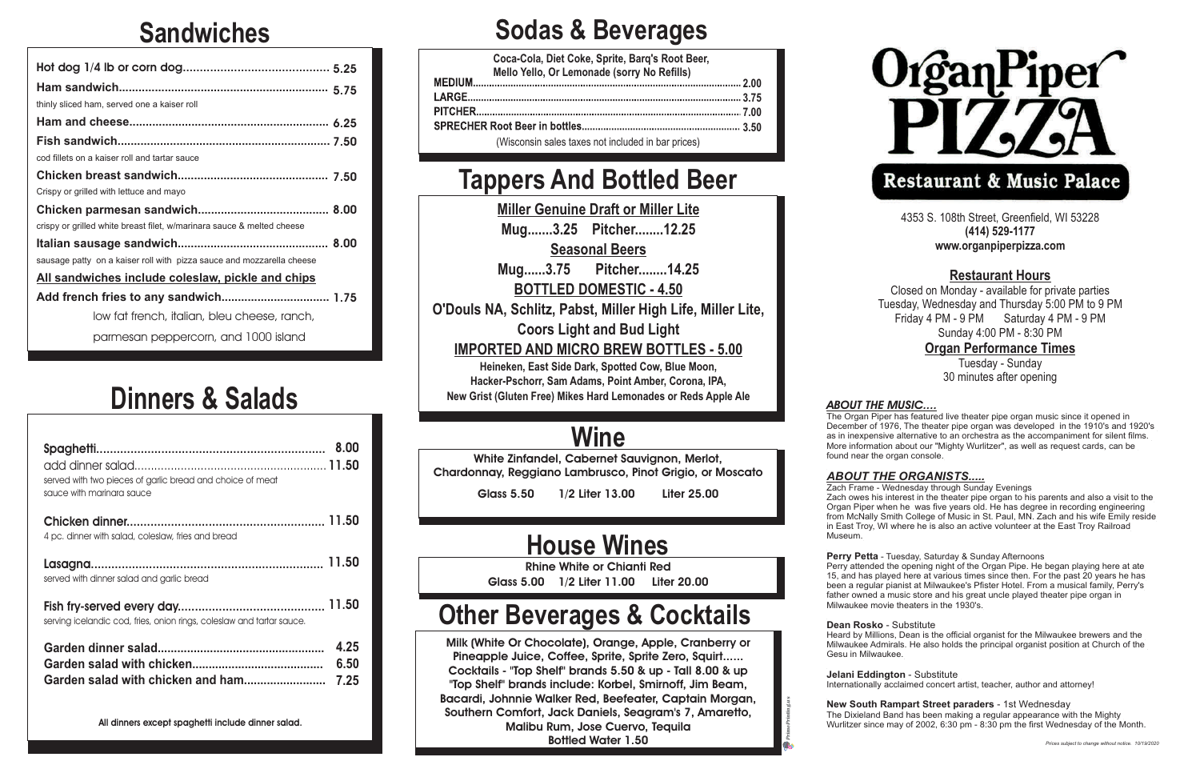## **Sandwiches**

## **Dinners & Salads**

### **Sodas & Beverages**

### **Tappers And Bottled Beer**

**Miller Genuine Draft or Miller Lite Mug.......3.25 Pitcher........12.25 Seasonal Beers**

**Mug......3.75 Pitcher........14.25 BOTTLED DOMESTIC - 4.50**

**O'Douls NA, Schlitz, Pabst, Miller High Life, Miller Lite,**

**Coors Light and Bud Light IMPORTED AND MICRO BREW BOTTLES - 5.00**

**Heineken, East Side Dark, Spotted Cow, Blue Moon, Hacker-Pschorr, Sam Adams, Point Amber, Corona, IPA, New Grist (Gluten Free) Mikes Hard Lemonades or Reds Apple Ale**

## **Wine**

White Zinfandel, Cabernet Sauvignon, Merlot, Chardonnay, Reggiano Lambrusco, Pinot Grigio, or Moscato

Glass 5.50 1/2 Liter 13.00 Liter 25.00

| thinly sliced ham, served one a kaiser roll                            |
|------------------------------------------------------------------------|
|                                                                        |
|                                                                        |
| cod fillets on a kaiser roll and tartar sauce                          |
|                                                                        |
| Crispy or grilled with lettuce and mayo                                |
|                                                                        |
| crispy or grilled white breast filet, w/marinara sauce & melted cheese |
|                                                                        |
| sausage patty on a kaiser roll with pizza sauce and mozzarella cheese  |
| All sandwiches include coleslaw, pickle and chips                      |
|                                                                        |
| low fat french, italian, bleu cheese, ranch,                           |
| parmesan peppercorn, and 1000 island                                   |

### **House Wines**

Rhine White or Chianti Red Glass 5.00 1/2 Liter 11.00 Liter 20.00

## **Other Beverages & Cocktails**

Milk (White Or Chocolate), Orange, Apple, Cranberry or Pineapple Juice, Coffee, Sprite, Sprite Zero, Squirt...... Cocktails - "Top Shelf" brands 5.50 & up - Tall 8.00 & up "Top Shelf" brands include: Korbel, Smirnoff, Jim Beam, Bacardi, Johnnie Walker Red, Beefeater, Captain Morgan, Southern Comfort, Jack Daniels, Seagram's 7, Amaretto, Malibu Rum, Jose Cuervo, Tequila Bottled Water 1.50



| served with two pieces of garlic bread and choice of meat<br>sauce with marinara sauce |                      |
|----------------------------------------------------------------------------------------|----------------------|
| 4 pc. dinner with salad, coleslaw, fries and bread                                     |                      |
| served with dinner salad and garlic bread                                              |                      |
| serving icelandic cod, fries, onion rings, coleslaw and tartar sauce.                  |                      |
| Garden salad with chicken and ham                                                      | 4.25<br>6.50<br>7.25 |
| All dinners except spaghetti include dinner salad.                                     |                      |

4353 S. 108th Street, Greenfield, WI 53228 **(414) 529-1177 www.organpiperpizza.com**

### **Restaurant Hours**

Closed on Monday - available for private parties Tuesday, Wednesday and Thursday 5:00 PM to 9 PM Friday 4 PM - 9 PM Saturday 4 PM - 9 PM Sunday 4:00 PM - 8:30 PM

### **Organ Performance Times**

Tuesday - Sunday 30 minutes after opening

#### **ABOUT THE MUSIC....**

| Coca-Cola, Diet Coke, Sprite, Barq's Root Beer,<br>Mello Yello, Or Lemonade (sorry No Refills) |
|------------------------------------------------------------------------------------------------|
|                                                                                                |
|                                                                                                |
|                                                                                                |
|                                                                                                |
| (Wisconsin sales taxes not included in bar prices)                                             |

The Organ Piper has featured live theater pipe organ music since it opened in December of 1976, The theater pipe organ was developed in the 1910's and 1920's as in inexpensive alternative to an orchestra as the accompaniment for silent films. More information about our "Mighty Wurlitzer", as well as request cards, can be found near the organ console.

### *ABOUT THE ORGANISTS.....*

Zach Frame - Wednesday through Sunday Evenings Zach owes his interest in the theater pipe organ to his parents and also a visit to the Organ Piper when he was five years old. He has degree in recording engineering from McNally Smith College of Music in St. Paul, MN. Zach and his wife Emily reside in East Troy, WI where he is also an active volunteer at the East Troy Railroad Museum.

#### **Perry Petta** - Tuesday, Saturday & Sunday Afternoons

Perry attended the opening night of the Organ Pipe. He began playing here at ate 15, and has played here at various times since then. For the past 20 years he has been a regular pianist at Milwaukee's Pfister Hotel. From a musical family, Perry's father owned a music store and his great uncle played theater pipe organ in Milwaukee movie theaters in the 1930's.

### **Dean Rosko** - Substitute

Heard by Millions, Dean is the official organist for the Milwaukee brewers and the Milwaukee Admirals. He also holds the principal organist position at Church of the Gesu in Milwaukee.

**Jelani Eddington** - Substitute Internationally acclaimed concert artist, teacher, author and attorney!

**New South Rampart Street paraders** - 1st Wednesday The Dixieland Band has been making a regular appearance with the Mighty Wurlitzer since may of 2002, 6:30 pm - 8:30 pm the first Wednesday of the Month.

**PrimePrinting.us**